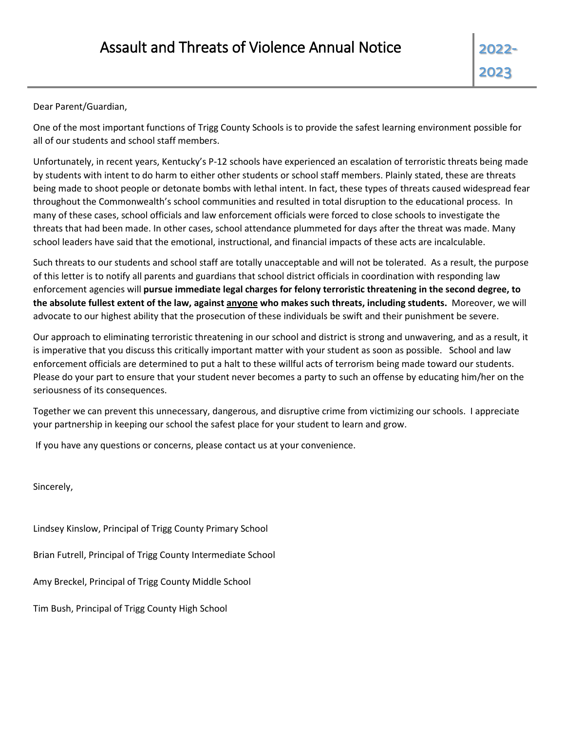Dear Parent/Guardian,

One of the most important functions of Trigg County Schools is to provide the safest learning environment possible for all of our students and school staff members.

Unfortunately, in recent years, Kentucky's P-12 schools have experienced an escalation of terroristic threats being made by students with intent to do harm to either other students or school staff members. Plainly stated, these are threats being made to shoot people or detonate bombs with lethal intent. In fact, these types of threats caused widespread fear throughout the Commonwealth's school communities and resulted in total disruption to the educational process. In many of these cases, school officials and law enforcement officials were forced to close schools to investigate the threats that had been made. In other cases, school attendance plummeted for days after the threat was made. Many school leaders have said that the emotional, instructional, and financial impacts of these acts are incalculable.

Such threats to our students and school staff are totally unacceptable and will not be tolerated. As a result, the purpose of this letter is to notify all parents and guardians that school district officials in coordination with responding law enforcement agencies will **pursue immediate legal charges for felony terroristic threatening in the second degree, to the absolute fullest extent of the law, against anyone who makes such threats, including students.** Moreover, we will advocate to our highest ability that the prosecution of these individuals be swift and their punishment be severe.

Our approach to eliminating terroristic threatening in our school and district is strong and unwavering, and as a result, it is imperative that you discuss this critically important matter with your student as soon as possible. School and law enforcement officials are determined to put a halt to these willful acts of terrorism being made toward our students. Please do your part to ensure that your student never becomes a party to such an offense by educating him/her on the seriousness of its consequences.

Together we can prevent this unnecessary, dangerous, and disruptive crime from victimizing our schools. I appreciate your partnership in keeping our school the safest place for your student to learn and grow.

If you have any questions or concerns, please contact us at your convenience.

Sincerely,

Lindsey Kinslow, Principal of Trigg County Primary School Brian Futrell, Principal of Trigg County Intermediate School Amy Breckel, Principal of Trigg County Middle School Tim Bush, Principal of Trigg County High School